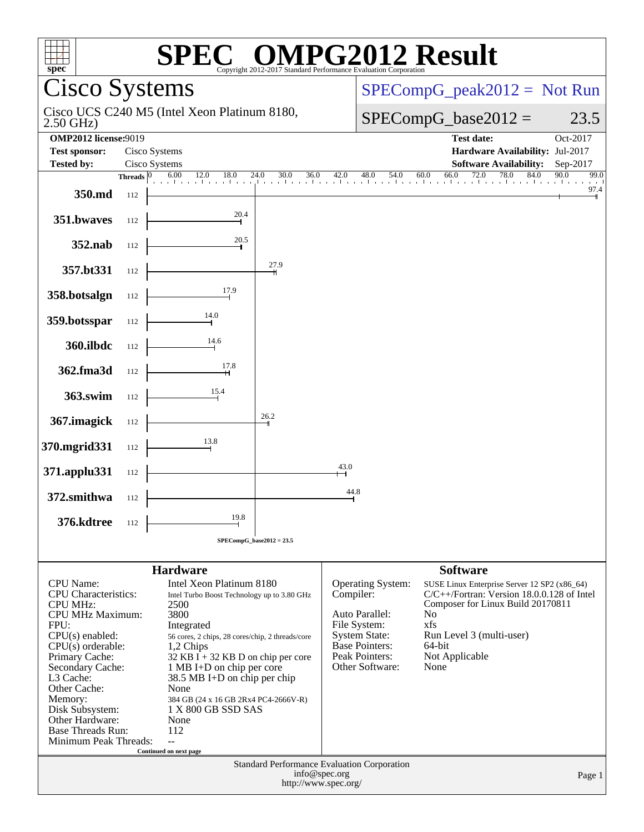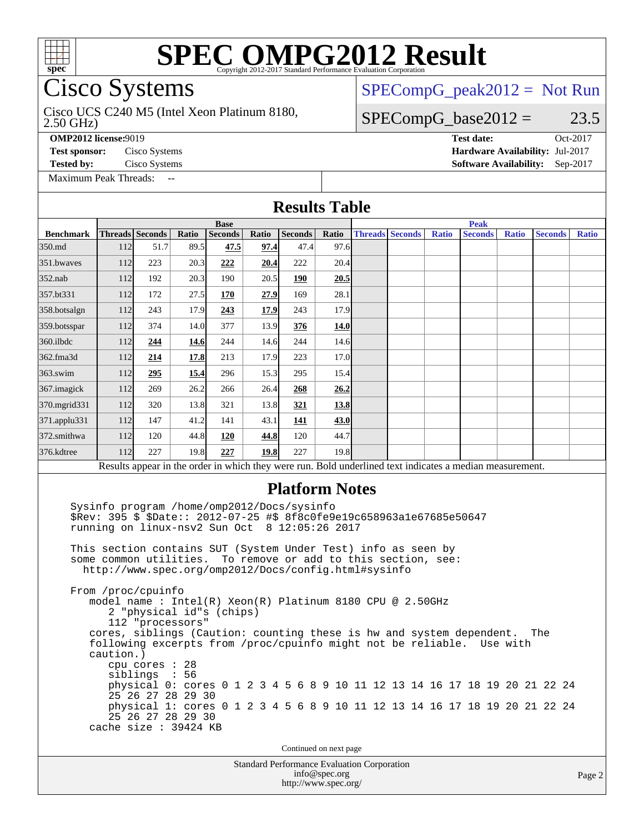

## Cisco Systems

### Cisco UCS C240 M5 (Intel Xeon Platinum 8180,

 $SPECompG_peak2012 = Not Run$  $SPECompG_peak2012 = Not Run$ 

### $SPECompG_base2012 = 23.5$  $SPECompG_base2012 = 23.5$

2.50 GHz)

[Maximum Peak Threads:](http://www.spec.org/auto/omp2012/Docs/result-fields.html#MaximumPeakThreads)

**[OMP2012 license:](http://www.spec.org/auto/omp2012/Docs/result-fields.html#OMP2012license)**9019 **[Test date:](http://www.spec.org/auto/omp2012/Docs/result-fields.html#Testdate)** Oct-2017 **[Test sponsor:](http://www.spec.org/auto/omp2012/Docs/result-fields.html#Testsponsor)** Cisco Systems **[Hardware Availability:](http://www.spec.org/auto/omp2012/Docs/result-fields.html#HardwareAvailability)** Jul-2017 **[Tested by:](http://www.spec.org/auto/omp2012/Docs/result-fields.html#Testedby)** Cisco Systems **[Software Availability:](http://www.spec.org/auto/omp2012/Docs/result-fields.html#SoftwareAvailability)** Sep-2017

#### Standard Performance Evaluation Corporation [info@spec.org](mailto:info@spec.org) Page 2 **[Results Table](http://www.spec.org/auto/omp2012/Docs/result-fields.html#ResultsTable) [Benchmark](http://www.spec.org/auto/omp2012/Docs/result-fields.html#Benchmark) [Threads](http://www.spec.org/auto/omp2012/Docs/result-fields.html#Threads) [Seconds](http://www.spec.org/auto/omp2012/Docs/result-fields.html#Seconds) [Ratio](http://www.spec.org/auto/omp2012/Docs/result-fields.html#Ratio) [Seconds](http://www.spec.org/auto/omp2012/Docs/result-fields.html#Seconds) [Ratio](http://www.spec.org/auto/omp2012/Docs/result-fields.html#Ratio) [Seconds](http://www.spec.org/auto/omp2012/Docs/result-fields.html#Seconds) [Ratio](http://www.spec.org/auto/omp2012/Docs/result-fields.html#Ratio) Base [Threads](http://www.spec.org/auto/omp2012/Docs/result-fields.html#Threads) [Seconds](http://www.spec.org/auto/omp2012/Docs/result-fields.html#Seconds) [Ratio](http://www.spec.org/auto/omp2012/Docs/result-fields.html#Ratio) [Seconds](http://www.spec.org/auto/omp2012/Docs/result-fields.html#Seconds) [Ratio](http://www.spec.org/auto/omp2012/Docs/result-fields.html#Ratio) [Seconds](http://www.spec.org/auto/omp2012/Docs/result-fields.html#Seconds) [Ratio](http://www.spec.org/auto/omp2012/Docs/result-fields.html#Ratio) Peak** [350.md](http://www.spec.org/auto/omp2012/Docs/350.md.html) 112 51.7 89.5 **[47.5](http://www.spec.org/auto/omp2012/Docs/result-fields.html#Median) [97.4](http://www.spec.org/auto/omp2012/Docs/result-fields.html#Median)** 47.4 97.6 [351.bwaves](http://www.spec.org/auto/omp2012/Docs/351.bwaves.html) 112 223 20.3 [222](http://www.spec.org/auto/omp2012/Docs/result-fields.html#Median) [20.4](http://www.spec.org/auto/omp2012/Docs/result-fields.html#Median) 222 20.4 [352.nab](http://www.spec.org/auto/omp2012/Docs/352.nab.html) 112 192 20.3 190 20.5 **[190](http://www.spec.org/auto/omp2012/Docs/result-fields.html#Median) [20.5](http://www.spec.org/auto/omp2012/Docs/result-fields.html#Median)** [357.bt331](http://www.spec.org/auto/omp2012/Docs/357.bt331.html) 112 172 27.5 **[170](http://www.spec.org/auto/omp2012/Docs/result-fields.html#Median) [27.9](http://www.spec.org/auto/omp2012/Docs/result-fields.html#Median)** 169 28.1 [358.botsalgn](http://www.spec.org/auto/omp2012/Docs/358.botsalgn.html) 112 243 17.9 **[243](http://www.spec.org/auto/omp2012/Docs/result-fields.html#Median) [17.9](http://www.spec.org/auto/omp2012/Docs/result-fields.html#Median)** 243 17.9 [359.botsspar](http://www.spec.org/auto/omp2012/Docs/359.botsspar.html) 112 374 14.0 377 13.9 **[376](http://www.spec.org/auto/omp2012/Docs/result-fields.html#Median) [14.0](http://www.spec.org/auto/omp2012/Docs/result-fields.html#Median)** [360.ilbdc](http://www.spec.org/auto/omp2012/Docs/360.ilbdc.html) 112 **[244](http://www.spec.org/auto/omp2012/Docs/result-fields.html#Median) [14.6](http://www.spec.org/auto/omp2012/Docs/result-fields.html#Median)** 244 14.6 244 14.6 [362.fma3d](http://www.spec.org/auto/omp2012/Docs/362.fma3d.html) 112 **[214](http://www.spec.org/auto/omp2012/Docs/result-fields.html#Median) [17.8](http://www.spec.org/auto/omp2012/Docs/result-fields.html#Median)** 213 17.9 223 17.0 [363.swim](http://www.spec.org/auto/omp2012/Docs/363.swim.html) 112 **[295](http://www.spec.org/auto/omp2012/Docs/result-fields.html#Median) [15.4](http://www.spec.org/auto/omp2012/Docs/result-fields.html#Median)** 296 15.3 295 15.4 [367.imagick](http://www.spec.org/auto/omp2012/Docs/367.imagick.html) 112 269 26.2 266 26.4 **[268](http://www.spec.org/auto/omp2012/Docs/result-fields.html#Median) [26.2](http://www.spec.org/auto/omp2012/Docs/result-fields.html#Median)** [370.mgrid331](http://www.spec.org/auto/omp2012/Docs/370.mgrid331.html) 112 320 13.8 321 13.8 **[321](http://www.spec.org/auto/omp2012/Docs/result-fields.html#Median) [13.8](http://www.spec.org/auto/omp2012/Docs/result-fields.html#Median)** [371.applu331](http://www.spec.org/auto/omp2012/Docs/371.applu331.html) 112 147 41.2 141 43.1 **[141](http://www.spec.org/auto/omp2012/Docs/result-fields.html#Median) [43.0](http://www.spec.org/auto/omp2012/Docs/result-fields.html#Median)** [372.smithwa](http://www.spec.org/auto/omp2012/Docs/372.smithwa.html) 112 120 44.8 **[120](http://www.spec.org/auto/omp2012/Docs/result-fields.html#Median) [44.8](http://www.spec.org/auto/omp2012/Docs/result-fields.html#Median)** 120 44.7 [376.kdtree](http://www.spec.org/auto/omp2012/Docs/376.kdtree.html) 112 [227](http://www.spec.org/auto/omp2012/Docs/result-fields.html#Median) [19.8](http://www.spec.org/auto/omp2012/Docs/result-fields.html#Median) 227 19.8 227 19.8 Results appear in the [order in which they were run.](http://www.spec.org/auto/omp2012/Docs/result-fields.html#RunOrder) Bold underlined text [indicates a median measurement.](http://www.spec.org/auto/omp2012/Docs/result-fields.html#Median) **[Platform Notes](http://www.spec.org/auto/omp2012/Docs/result-fields.html#PlatformNotes)** Sysinfo program /home/omp2012/Docs/sysinfo \$Rev: 395 \$ \$Date:: 2012-07-25 #\$ 8f8c0fe9e19c658963a1e67685e50647 running on linux-nsv2 Sun Oct 8 12:05:26 2017 This section contains SUT (System Under Test) info as seen by some common utilities. To remove or add to this section, see: <http://www.spec.org/omp2012/Docs/config.html#sysinfo> From /proc/cpuinfo model name : Intel(R) Xeon(R) Platinum 8180 CPU @ 2.50GHz 2 "physical id"s (chips) 112 "processors" cores, siblings (Caution: counting these is hw and system dependent. The following excerpts from /proc/cpuinfo might not be reliable. Use with caution.) cpu cores : 28 siblings : 56 physical 0: cores 0 1 2 3 4 5 6 8 9 10 11 12 13 14 16 17 18 19 20 21 22 24 25 26 27 28 29 30 physical 1: cores 0 1 2 3 4 5 6 8 9 10 11 12 13 14 16 17 18 19 20 21 22 24 25 26 27 28 29 30 cache size : 39424 KB Continued on next page

<http://www.spec.org/>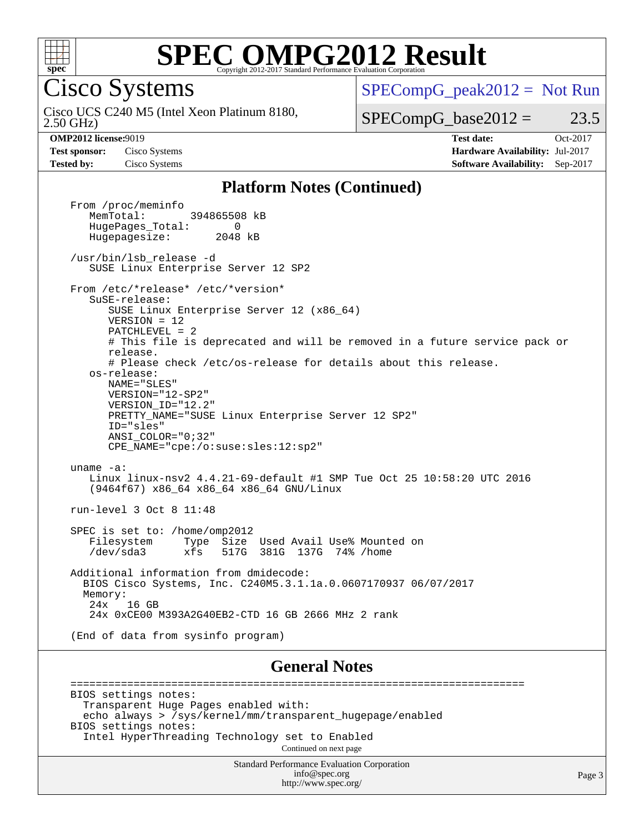

Cisco Systems

 $SPECompG_peak2012 = Not Run$  $SPECompG_peak2012 = Not Run$ 

2.50 GHz) Cisco UCS C240 M5 (Intel Xeon Platinum 8180,

 $SPECompG_base2012 = 23.5$  $SPECompG_base2012 = 23.5$ 

**[Test sponsor:](http://www.spec.org/auto/omp2012/Docs/result-fields.html#Testsponsor)** Cisco Systems **[Hardware Availability:](http://www.spec.org/auto/omp2012/Docs/result-fields.html#HardwareAvailability)** Jul-2017

**[OMP2012 license:](http://www.spec.org/auto/omp2012/Docs/result-fields.html#OMP2012license)**9019 **[Test date:](http://www.spec.org/auto/omp2012/Docs/result-fields.html#Testdate)** Oct-2017 **[Tested by:](http://www.spec.org/auto/omp2012/Docs/result-fields.html#Testedby)** Cisco Systems **[Software Availability:](http://www.spec.org/auto/omp2012/Docs/result-fields.html#SoftwareAvailability)** Sep-2017

#### **[Platform Notes \(Continued\)](http://www.spec.org/auto/omp2012/Docs/result-fields.html#PlatformNotes)**

From /proc/meminfo<br>MemTotal: 394865508 kB HugePages\_Total: 0<br>Hugepagesize: 2048 kB Hugepagesize: /usr/bin/lsb\_release -d SUSE Linux Enterprise Server 12 SP2 From /etc/\*release\* /etc/\*version\* SuSE-release: SUSE Linux Enterprise Server 12 (x86\_64) VERSION = 12 PATCHLEVEL = 2 # This file is deprecated and will be removed in a future service pack or release. # Please check /etc/os-release for details about this release. os-release: NAME="SLES" VERSION="12-SP2" VERSION\_ID="12.2" PRETTY\_NAME="SUSE Linux Enterprise Server 12 SP2" ID="sles" ANSI\_COLOR="0;32" CPE\_NAME="cpe:/o:suse:sles:12:sp2" uname -a: Linux linux-nsv2 4.4.21-69-default #1 SMP Tue Oct 25 10:58:20 UTC 2016 (9464f67) x86\_64 x86\_64 x86\_64 GNU/Linux run-level 3 Oct 8 11:48 SPEC is set to: /home/omp2012<br>Filesystem Type Size Filesystem Type Size Used Avail Use% Mounted on /dev/sda3 xfs 517G 381G 137G 74% /home Additional information from dmidecode: BIOS Cisco Systems, Inc. C240M5.3.1.1a.0.0607170937 06/07/2017 Memory:<br>24x 16 GB 24x 0xCE00 M393A2G40EB2-CTD 16 GB 2666 MHz 2 rank (End of data from sysinfo program) **[General Notes](http://www.spec.org/auto/omp2012/Docs/result-fields.html#GeneralNotes)** ========================================================================

 BIOS settings notes: Transparent Huge Pages enabled with: echo always > /sys/kernel/mm/transparent\_hugepage/enabled BIOS settings notes: Intel HyperThreading Technology set to Enabled Continued on next page

> Standard Performance Evaluation Corporation [info@spec.org](mailto:info@spec.org) <http://www.spec.org/>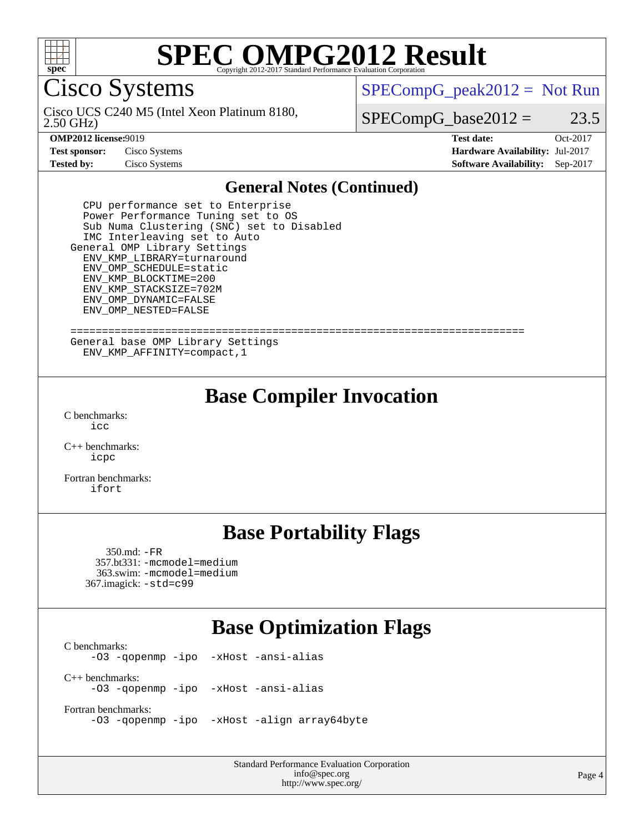

Cisco Systems

 $SPECompG_peak2012 = Not Run$  $SPECompG_peak2012 = Not Run$ 

2.50 GHz) Cisco UCS C240 M5 (Intel Xeon Platinum 8180,

 $SPECompG_base2012 = 23.5$  $SPECompG_base2012 = 23.5$ 

**[Test sponsor:](http://www.spec.org/auto/omp2012/Docs/result-fields.html#Testsponsor)** Cisco Systems **[Hardware Availability:](http://www.spec.org/auto/omp2012/Docs/result-fields.html#HardwareAvailability)** Jul-2017

**[OMP2012 license:](http://www.spec.org/auto/omp2012/Docs/result-fields.html#OMP2012license)**9019 **[Test date:](http://www.spec.org/auto/omp2012/Docs/result-fields.html#Testdate)** Oct-2017 **[Tested by:](http://www.spec.org/auto/omp2012/Docs/result-fields.html#Testedby)** Cisco Systems **[Software Availability:](http://www.spec.org/auto/omp2012/Docs/result-fields.html#SoftwareAvailability)** Sep-2017

#### **[General Notes \(Continued\)](http://www.spec.org/auto/omp2012/Docs/result-fields.html#GeneralNotes)**

 CPU performance set to Enterprise Power Performance Tuning set to OS Sub Numa Clustering (SNC) set to Disabled IMC Interleaving set to Auto General OMP Library Settings ENV\_KMP\_LIBRARY=turnaround ENV\_OMP\_SCHEDULE=static ENV\_KMP\_BLOCKTIME=200 ENV\_KMP\_STACKSIZE=702M ENV\_OMP\_DYNAMIC=FALSE ENV\_OMP\_NESTED=FALSE

 ======================================================================== General base OMP Library Settings ENV\_KMP\_AFFINITY=compact,1

## **[Base Compiler Invocation](http://www.spec.org/auto/omp2012/Docs/result-fields.html#BaseCompilerInvocation)**

[C benchmarks](http://www.spec.org/auto/omp2012/Docs/result-fields.html#Cbenchmarks): [icc](http://www.spec.org/omp2012/results/res2017q4/omp2012-20171010-00130.flags.html#user_CCbase_intel_icc_a87c68a857bc5ec5362391a49d3a37a6)

[C++ benchmarks:](http://www.spec.org/auto/omp2012/Docs/result-fields.html#CXXbenchmarks) [icpc](http://www.spec.org/omp2012/results/res2017q4/omp2012-20171010-00130.flags.html#user_CXXbase_intel_icpc_2d899f8d163502b12eb4a60069f80c1c)

[Fortran benchmarks](http://www.spec.org/auto/omp2012/Docs/result-fields.html#Fortranbenchmarks): [ifort](http://www.spec.org/omp2012/results/res2017q4/omp2012-20171010-00130.flags.html#user_FCbase_intel_ifort_8a5e5e06b19a251bdeaf8fdab5d62f20)

## **[Base Portability Flags](http://www.spec.org/auto/omp2012/Docs/result-fields.html#BasePortabilityFlags)**

 350.md: [-FR](http://www.spec.org/omp2012/results/res2017q4/omp2012-20171010-00130.flags.html#user_baseFPORTABILITY350_md_f-FR) 357.bt331: [-mcmodel=medium](http://www.spec.org/omp2012/results/res2017q4/omp2012-20171010-00130.flags.html#user_basePORTABILITY357_bt331_f-mcmodel_3a41622424bdd074c4f0f2d2f224c7e5) 363.swim: [-mcmodel=medium](http://www.spec.org/omp2012/results/res2017q4/omp2012-20171010-00130.flags.html#user_basePORTABILITY363_swim_f-mcmodel_3a41622424bdd074c4f0f2d2f224c7e5) 367.imagick: [-std=c99](http://www.spec.org/omp2012/results/res2017q4/omp2012-20171010-00130.flags.html#user_baseCPORTABILITY367_imagick_f-std_2ec6533b6e06f1c4a6c9b78d9e9cde24)

## **[Base Optimization Flags](http://www.spec.org/auto/omp2012/Docs/result-fields.html#BaseOptimizationFlags)**

 $\text{C}$  benchmarks:<br>-03 -gopenmp -ipo [-xHost](http://www.spec.org/omp2012/results/res2017q4/omp2012-20171010-00130.flags.html#user_CCbase_f-xHost) [-ansi-alias](http://www.spec.org/omp2012/results/res2017q4/omp2012-20171010-00130.flags.html#user_CCbase_f-ansi-alias) [C++ benchmarks:](http://www.spec.org/auto/omp2012/Docs/result-fields.html#CXXbenchmarks) [-O3](http://www.spec.org/omp2012/results/res2017q4/omp2012-20171010-00130.flags.html#user_CXXbase_f-O3) [-qopenmp](http://www.spec.org/omp2012/results/res2017q4/omp2012-20171010-00130.flags.html#user_CXXbase_f-qopenmp) [-ipo](http://www.spec.org/omp2012/results/res2017q4/omp2012-20171010-00130.flags.html#user_CXXbase_f-ipo_84062ab53814f613187d02344b8f49a7) [-xHost](http://www.spec.org/omp2012/results/res2017q4/omp2012-20171010-00130.flags.html#user_CXXbase_f-xHost) [-ansi-alias](http://www.spec.org/omp2012/results/res2017q4/omp2012-20171010-00130.flags.html#user_CXXbase_f-ansi-alias) [Fortran benchmarks](http://www.spec.org/auto/omp2012/Docs/result-fields.html#Fortranbenchmarks):

[-O3](http://www.spec.org/omp2012/results/res2017q4/omp2012-20171010-00130.flags.html#user_FCbase_f-O3) [-qopenmp](http://www.spec.org/omp2012/results/res2017q4/omp2012-20171010-00130.flags.html#user_FCbase_f-qopenmp) [-ipo](http://www.spec.org/omp2012/results/res2017q4/omp2012-20171010-00130.flags.html#user_FCbase_f-ipo_84062ab53814f613187d02344b8f49a7) [-xHost](http://www.spec.org/omp2012/results/res2017q4/omp2012-20171010-00130.flags.html#user_FCbase_f-xHost) [-align array64byte](http://www.spec.org/omp2012/results/res2017q4/omp2012-20171010-00130.flags.html#user_FCbase_f-align_c9377f996e966d652baaf753401d4725)

Standard Performance Evaluation Corporation [info@spec.org](mailto:info@spec.org) <http://www.spec.org/>